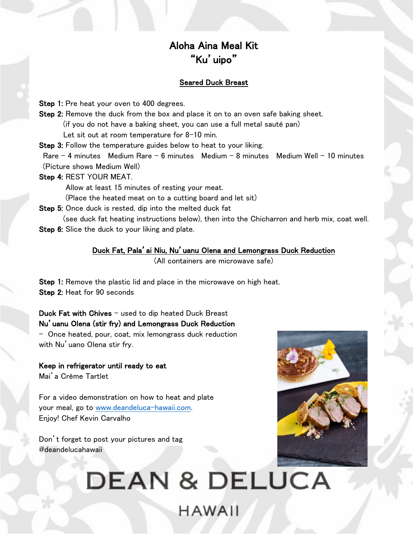### Aloha Aina Meal Kit "Ku'uipo"

### Seared Duck Breast

Step 1: Pre heat your oven to 400 degrees.

Step 2: Remove the duck from the box and place it on to an oven safe baking sheet. (if you do not have a baking sheet, you can use a full metal sauté pan)

Let sit out at room temperature for 8-10 min.

Step 3: Follow the temperature guides below to heat to your liking.

Rare – 4 minutes Medium Rare – 6 minutes Medium – 8 minutes Medium Well – 10 minutes (Picture shows Medium Well)

Step 4: REST YOUR MEAT.

Allow at least 15 minutes of resting your meat.

(Place the heated meat on to a cutting board and let sit)

Step 5: Once duck is rested, dip into the melted duck fat

(see duck fat heating instructions below), then into the Chicharron and herb mix, coat well. Step 6: Slice the duck to your liking and plate.

### Duck Fat, Pala'ai Niu, Nu'uanu Olena and Lemongrass Duck Reduction

(All containers are microwave safe)

Step 1: Remove the plastic lid and place in the microwave on high heat. Step 2: Heat for 90 seconds

Duck Fat with Chives – used to dip heated Duck Breast Nu'uanu Olena (stir fry) and Lemongrass Duck Reduction - Once heated, pour, coat, mix lemongrass duck reduction with Nu'uano Olena stir fry.

Keep in refrigerator until ready to eat Mai'a Crème Tartlet

For a video demonstration on how to heat and plate your meal, go to www.deandeluca-hawaii.com. Enjoy! Chef Kevin Carvalho

Don't forget to post your pictures and tag @deandelucahawaii

# **DEAN & DELUCA HAWAII**